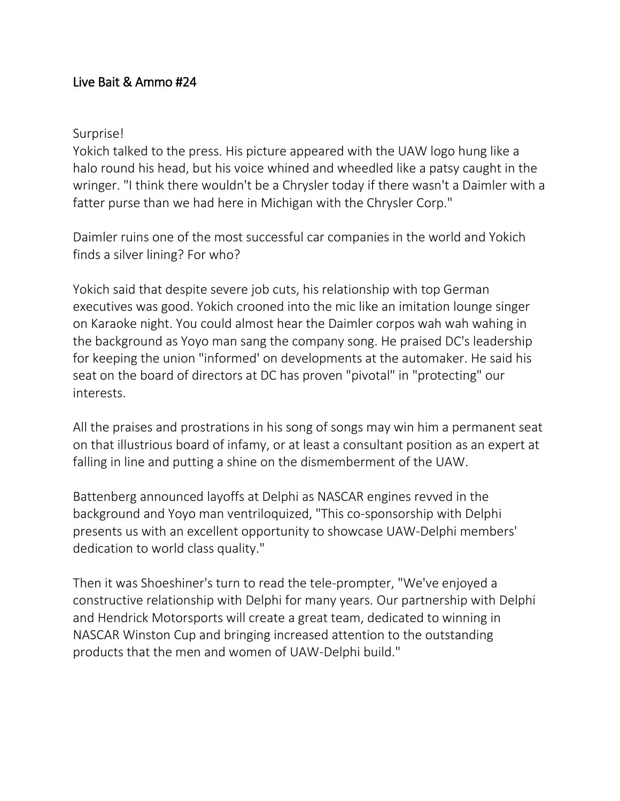## Live Bait & Ammo #24

## Surprise!

Yokich talked to the press. His picture appeared with the UAW logo hung like a halo round his head, but his voice whined and wheedled like a patsy caught in the wringer. "I think there wouldn't be a Chrysler today if there wasn't a Daimler with a fatter purse than we had here in Michigan with the Chrysler Corp."

Daimler ruins one of the most successful car companies in the world and Yokich finds a silver lining? For who?

Yokich said that despite severe job cuts, his relationship with top German executives was good. Yokich crooned into the mic like an imitation lounge singer on Karaoke night. You could almost hear the Daimler corpos wah wah wahing in the background as Yoyo man sang the company song. He praised DC's leadership for keeping the union "informed' on developments at the automaker. He said his seat on the board of directors at DC has proven "pivotal" in "protecting" our interests.

All the praises and prostrations in his song of songs may win him a permanent seat on that illustrious board of infamy, or at least a consultant position as an expert at falling in line and putting a shine on the dismemberment of the UAW.

Battenberg announced layoffs at Delphi as NASCAR engines revved in the background and Yoyo man ventriloquized, "This co-sponsorship with Delphi presents us with an excellent opportunity to showcase UAW-Delphi members' dedication to world class quality."

Then it was Shoeshiner's turn to read the tele-prompter, "We've enjoyed a constructive relationship with Delphi for many years. Our partnership with Delphi and Hendrick Motorsports will create a great team, dedicated to winning in NASCAR Winston Cup and bringing increased attention to the outstanding products that the men and women of UAW-Delphi build."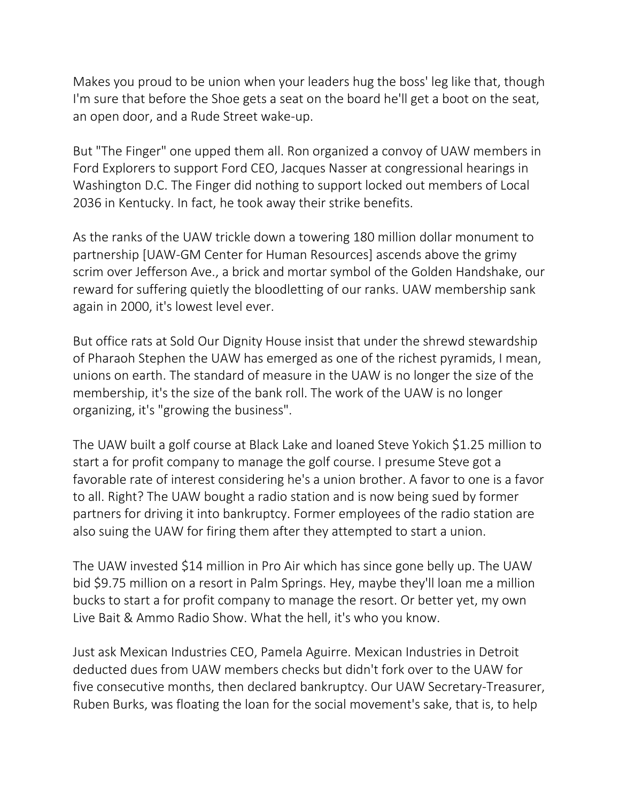Makes you proud to be union when your leaders hug the boss' leg like that, though I'm sure that before the Shoe gets a seat on the board he'll get a boot on the seat, an open door, and a Rude Street wake-up.

But "The Finger" one upped them all. Ron organized a convoy of UAW members in Ford Explorers to support Ford CEO, Jacques Nasser at congressional hearings in Washington D.C. The Finger did nothing to support locked out members of Local 2036 in Kentucky. In fact, he took away their strike benefits.

As the ranks of the UAW trickle down a towering 180 million dollar monument to partnership [UAW-GM Center for Human Resources] ascends above the grimy scrim over Jefferson Ave., a brick and mortar symbol of the Golden Handshake, our reward for suffering quietly the bloodletting of our ranks. UAW membership sank again in 2000, it's lowest level ever.

But office rats at Sold Our Dignity House insist that under the shrewd stewardship of Pharaoh Stephen the UAW has emerged as one of the richest pyramids, I mean, unions on earth. The standard of measure in the UAW is no longer the size of the membership, it's the size of the bank roll. The work of the UAW is no longer organizing, it's "growing the business".

The UAW built a golf course at Black Lake and loaned Steve Yokich \$1.25 million to start a for profit company to manage the golf course. I presume Steve got a favorable rate of interest considering he's a union brother. A favor to one is a favor to all. Right? The UAW bought a radio station and is now being sued by former partners for driving it into bankruptcy. Former employees of the radio station are also suing the UAW for firing them after they attempted to start a union.

The UAW invested \$14 million in Pro Air which has since gone belly up. The UAW bid \$9.75 million on a resort in Palm Springs. Hey, maybe they'll loan me a million bucks to start a for profit company to manage the resort. Or better yet, my own Live Bait & Ammo Radio Show. What the hell, it's who you know.

Just ask Mexican Industries CEO, Pamela Aguirre. Mexican Industries in Detroit deducted dues from UAW members checks but didn't fork over to the UAW for five consecutive months, then declared bankruptcy. Our UAW Secretary-Treasurer, Ruben Burks, was floating the loan for the social movement's sake, that is, to help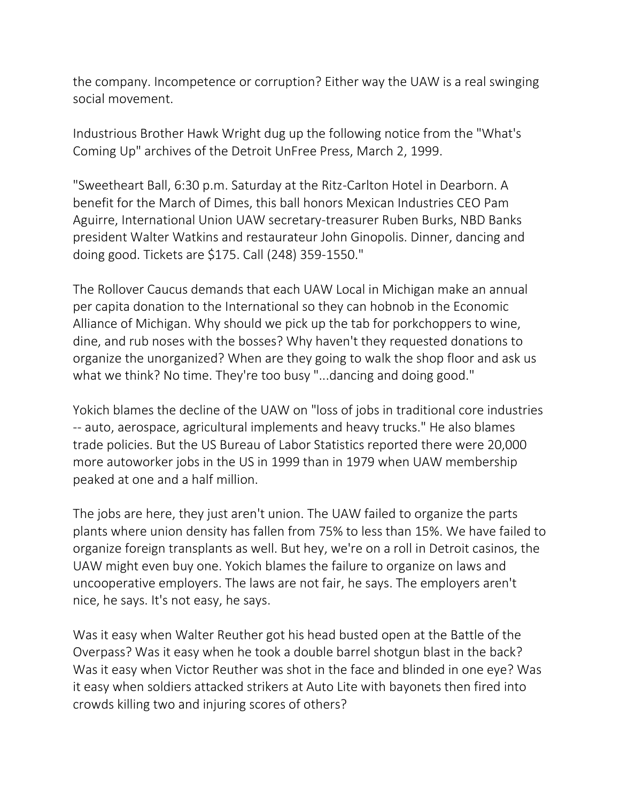the company. Incompetence or corruption? Either way the UAW is a real swinging social movement.

Industrious Brother Hawk Wright dug up the following notice from the "What's Coming Up" archives of the Detroit UnFree Press, March 2, 1999.

"Sweetheart Ball, 6:30 p.m. Saturday at the Ritz-Carlton Hotel in Dearborn. A benefit for the March of Dimes, this ball honors Mexican Industries CEO Pam Aguirre, International Union UAW secretary-treasurer Ruben Burks, NBD Banks president Walter Watkins and restaurateur John Ginopolis. Dinner, dancing and doing good. Tickets are \$175. Call (248) 359-1550."

The Rollover Caucus demands that each UAW Local in Michigan make an annual per capita donation to the International so they can hobnob in the Economic Alliance of Michigan. Why should we pick up the tab for porkchoppers to wine, dine, and rub noses with the bosses? Why haven't they requested donations to organize the unorganized? When are they going to walk the shop floor and ask us what we think? No time. They're too busy "...dancing and doing good."

Yokich blames the decline of the UAW on "loss of jobs in traditional core industries -- auto, aerospace, agricultural implements and heavy trucks." He also blames trade policies. But the US Bureau of Labor Statistics reported there were 20,000 more autoworker jobs in the US in 1999 than in 1979 when UAW membership peaked at one and a half million.

The jobs are here, they just aren't union. The UAW failed to organize the parts plants where union density has fallen from 75% to less than 15%. We have failed to organize foreign transplants as well. But hey, we're on a roll in Detroit casinos, the UAW might even buy one. Yokich blames the failure to organize on laws and uncooperative employers. The laws are not fair, he says. The employers aren't nice, he says. It's not easy, he says.

Was it easy when Walter Reuther got his head busted open at the Battle of the Overpass? Was it easy when he took a double barrel shotgun blast in the back? Was it easy when Victor Reuther was shot in the face and blinded in one eye? Was it easy when soldiers attacked strikers at Auto Lite with bayonets then fired into crowds killing two and injuring scores of others?